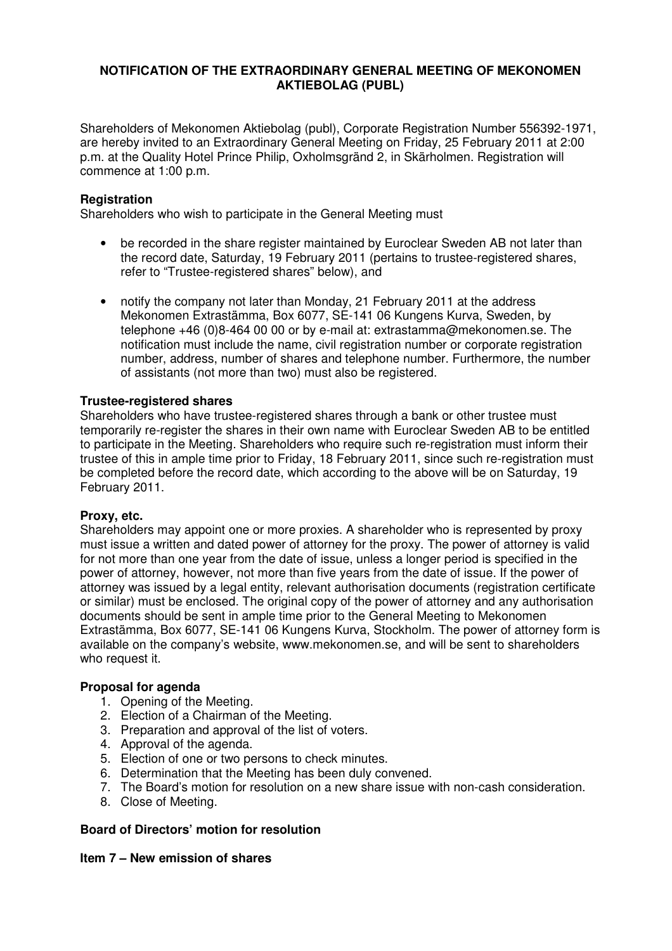# **NOTIFICATION OF THE EXTRAORDINARY GENERAL MEETING OF MEKONOMEN AKTIEBOLAG (PUBL)**

Shareholders of Mekonomen Aktiebolag (publ), Corporate Registration Number 556392-1971, are hereby invited to an Extraordinary General Meeting on Friday, 25 February 2011 at 2:00 p.m. at the Quality Hotel Prince Philip, Oxholmsgränd 2, in Skärholmen. Registration will commence at 1:00 p.m.

# **Registration**

Shareholders who wish to participate in the General Meeting must

- be recorded in the share register maintained by Euroclear Sweden AB not later than the record date, Saturday, 19 February 2011 (pertains to trustee-registered shares, refer to "Trustee-registered shares" below), and
- notify the company not later than Monday, 21 February 2011 at the address Mekonomen Extrastämma, Box 6077, SE-141 06 Kungens Kurva, Sweden, by telephone +46 (0)8-464 00 00 or by e-mail at: extrastamma@mekonomen.se. The notification must include the name, civil registration number or corporate registration number, address, number of shares and telephone number. Furthermore, the number of assistants (not more than two) must also be registered.

### **Trustee-registered shares**

Shareholders who have trustee-registered shares through a bank or other trustee must temporarily re-register the shares in their own name with Euroclear Sweden AB to be entitled to participate in the Meeting. Shareholders who require such re-registration must inform their trustee of this in ample time prior to Friday, 18 February 2011, since such re-registration must be completed before the record date, which according to the above will be on Saturday, 19 February 2011.

#### **Proxy, etc.**

Shareholders may appoint one or more proxies. A shareholder who is represented by proxy must issue a written and dated power of attorney for the proxy. The power of attorney is valid for not more than one year from the date of issue, unless a longer period is specified in the power of attorney, however, not more than five years from the date of issue. If the power of attorney was issued by a legal entity, relevant authorisation documents (registration certificate or similar) must be enclosed. The original copy of the power of attorney and any authorisation documents should be sent in ample time prior to the General Meeting to Mekonomen Extrastämma, Box 6077, SE-141 06 Kungens Kurva, Stockholm. The power of attorney form is available on the company's website, www.mekonomen.se, and will be sent to shareholders who request it.

#### **Proposal for agenda**

- 1. Opening of the Meeting.
- 2. Election of a Chairman of the Meeting.
- 3. Preparation and approval of the list of voters.
- 4. Approval of the agenda.
- 5. Election of one or two persons to check minutes.
- 6. Determination that the Meeting has been duly convened.
- 7. The Board's motion for resolution on a new share issue with non-cash consideration.
- 8. Close of Meeting.

# **Board of Directors' motion for resolution**

# **Item 7 – New emission of shares**